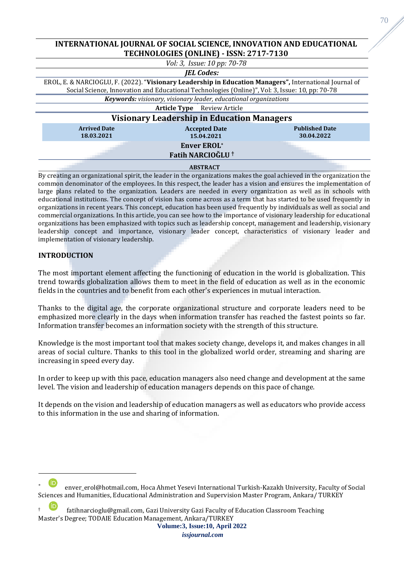# **INTERNATIONAL JOURNAL OF SOCIAL SCIENCE, INNOVATION AND EDUCATIONAL TECHNOLOGIES (ONLINE) - ISSN: 2717-7130**

| Vol: 3, Issue: 10 pp: 70-78                                                                                                                                                                                |                                                    |                                     |
|------------------------------------------------------------------------------------------------------------------------------------------------------------------------------------------------------------|----------------------------------------------------|-------------------------------------|
| <b>JEL Codes:</b>                                                                                                                                                                                          |                                                    |                                     |
| EROL, E. & NARCIOGLU, F. (2022). "Visionary Leadership in Education Managers", International Journal of<br>Social Science, Innovation and Educational Technologies (Online)", Vol. 3, Issue: 10, pp: 70-78 |                                                    |                                     |
| Keywords: visionary, visionary leader, educational organizations                                                                                                                                           |                                                    |                                     |
| <b>Article Type</b> Review Article                                                                                                                                                                         |                                                    |                                     |
| <b>Visionary Leadership in Education Managers</b>                                                                                                                                                          |                                                    |                                     |
| <b>Arrived Date</b><br>18.03.2021                                                                                                                                                                          | <b>Accepted Date</b><br>15.04.2021                 | <b>Published Date</b><br>30.04.2022 |
|                                                                                                                                                                                                            | <b>Enver EROL*</b><br>Fatih NARCIOĞLU <sup>†</sup> |                                     |

#### **ABSTRACT**

By creating an organizational spirit, the leader in the organizations makes the goal achieved in the organization the common denominator of the employees. In this respect, the leader has a vision and ensures the implementation of large plans related to the organization. Leaders are needed in every organization as well as in schools with educational institutions. The concept of vision has come across as a term that has started to be used frequently in organizations in recent years. This concept, education has been used frequently by individuals as well as social and commercial organizations. In this article, you can see how to the importance of visionary leadership for educational organizations has been emphasized with topics such as leadership concept, management and leadership, visionary leadership concept and importance, visionary leader concept, characteristics of visionary leader and implementation of visionary leadership.

# **INTRODUCTION**

The most important element affecting the functioning of education in the world is globalization. This trend towards globalization allows them to meet in the field of education as well as in the economic fields in the countries and to benefit from each other's experiences in mutual interaction.

Thanks to the digital age, the corporate organizational structure and corporate leaders need to be emphasized more clearly in the days when information transfer has reached the fastest points so far. Information transfer becomes an information society with the strength of this structure.

Knowledge is the most important tool that makes society change, develops it, and makes changes in all areas of social culture. Thanks to this tool in the globalized world order, streaming and sharing are increasing in speed every day.

In order to keep up with this pace, education managers also need change and development at the same level. The vision and leadership of education managers depends on this pace of change.

It depends on the vision and leadership of education managers as well as educators who provide access to this information in the use and sharing of information.

[e](https://orcid.org/0000-0002-1103-5415)nver\_erol@hotmail.com, Hoca Ahmet Yesevi International Turkish-Kazakh University, Faculty of Social Sciences and Humanities, Educational Administration and Supervision Master Program, Ankara/ TURKEY

[<sup>†</sup>](https://orcid.org/0000-0002-5222-7560) fatihnarcioglu@gmail.com, Gazi University Gazi Faculty of Education Classroom Teaching Master's Degree; TODAIE Education Management, Ankara/TURKEY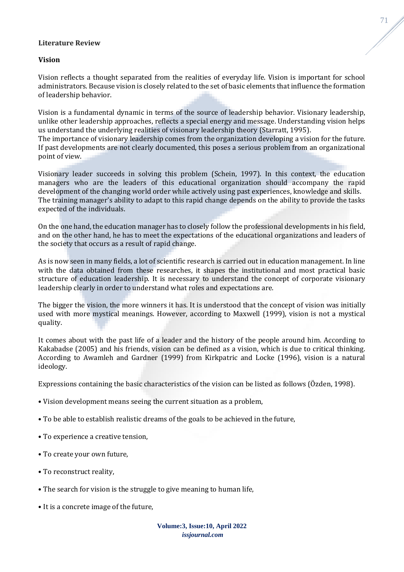#### **Literature Review**

#### **Vision**

Vision reflects a thought separated from the realities of everyday life. Vision is important for school administrators. Because vision is closely related to the set of basic elements that influence the formation of leadership behavior.

Vision is a fundamental dynamic in terms of the source of leadership behavior. Visionary leadership, unlike other leadership approaches, reflects a special energy and message. Understanding vision helps us understand the underlying realities of visionary leadership theory (Starratt, 1995).

The importance of visionary leadership comes from the organization developing a vision for the future. If past developments are not clearly documented, this poses a serious problem from an organizational point of view.

Visionary leader succeeds in solving this problem (Schein, 1997). In this context, the education managers who are the leaders of this educational organization should accompany the rapid development of the changing world order while actively using past experiences, knowledge and skills. The training manager's ability to adapt to this rapid change depends on the ability to provide the tasks expected of the individuals.

On the one hand, the education manager has to closely follow the professional developments in his field, and on the other hand, he has to meet the expectations of the educational organizations and leaders of the society that occurs as a result of rapid change.

As is now seen in many fields, a lot of scientific research is carried out in education management. In line with the data obtained from these researches, it shapes the institutional and most practical basic structure of education leadership. It is necessary to understand the concept of corporate visionary leadership clearly in order to understand what roles and expectations are.

The bigger the vision, the more winners it has. It is understood that the concept of vision was initially used with more mystical meanings. However, according to Maxwell (1999), vision is not a mystical quality.

It comes about with the past life of a leader and the history of the people around him. According to Kakabadse (2005) and his friends, vision can be defined as a vision, which is due to critical thinking. According to Awamleh and Gardner (1999) from Kirkpatric and Locke (1996), vision is a natural ideology.

Expressions containing the basic characteristics of the vision can be listed as follows (Özden, 1998).

- Vision development means seeing the current situation as a problem,
- To be able to establish realistic dreams of the goals to be achieved in the future,
- To experience a creative tension,
- To create your own future,
- To reconstruct reality,
- The search for vision is the struggle to give meaning to human life,
- It is a concrete image of the future,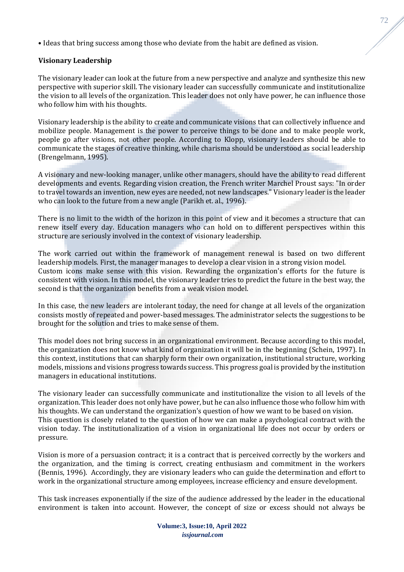• Ideas that bring success among those who deviate from the habit are defined as vision.

# **Visionary Leadership**

The visionary leader can look at the future from a new perspective and analyze and synthesize this new perspective with superior skill. The visionary leader can successfully communicate and institutionalize the vision to all levels of the organization. This leader does not only have power, he can influence those who follow him with his thoughts.

Visionary leadership is the ability to create and communicate visions that can collectively influence and mobilize people. Management is the power to perceive things to be done and to make people work, people go after visions, not other people. According to Klopp, visionary leaders should be able to communicate the stages of creative thinking, while charisma should be understood as social leadership (Brengelmann, 1995).

A visionary and new-looking manager, unlike other managers, should have the ability to read different developments and events. Regarding vision creation, the French writer Marchel Proust says: "In order to travel towards an invention, new eyes are needed, not new landscapes." Visionary leader is the leader who can look to the future from a new angle (Parikh et. al., 1996).

There is no limit to the width of the horizon in this point of view and it becomes a structure that can renew itself every day. Education managers who can hold on to different perspectives within this structure are seriously involved in the context of visionary leadership.

The work carried out within the framework of management renewal is based on two different leadership models. First, the manager manages to develop a clear vision in a strong vision model. Custom icons make sense with this vision. Rewarding the organization's efforts for the future is consistent with vision. In this model, the visionary leader tries to predict the future in the best way, the second is that the organization benefits from a weak vision model.

In this case, the new leaders are intolerant today, the need for change at all levels of the organization consists mostly of repeated and power-based messages. The administrator selects the suggestions to be brought for the solution and tries to make sense of them.

This model does not bring success in an organizational environment. Because according to this model, the organization does not know what kind of organization it will be in the beginning (Schein, 1997). In this context, institutions that can sharply form their own organization, institutional structure, working models, missions and visions progress towards success. This progress goal is provided by the institution managers in educational institutions.

The visionary leader can successfully communicate and institutionalize the vision to all levels of the organization. This leader does not only have power, but he can also influence those who follow him with his thoughts. We can understand the organization's question of how we want to be based on vision. This question is closely related to the question of how we can make a psychological contract with the vision today. The institutionalization of a vision in organizational life does not occur by orders or pressure.

Vision is more of a persuasion contract; it is a contract that is perceived correctly by the workers and the organization, and the timing is correct, creating enthusiasm and commitment in the workers (Bennis, 1996). Accordingly, they are visionary leaders who can guide the determination and effort to work in the organizational structure among employees, increase efficiency and ensure development.

This task increases exponentially if the size of the audience addressed by the leader in the educational environment is taken into account. However, the concept of size or excess should not always be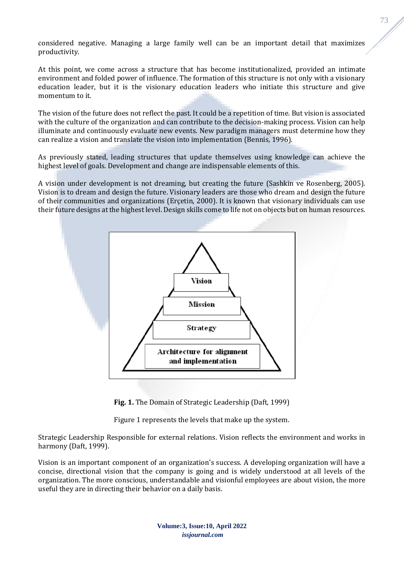considered negative. Managing a large family well can be an important detail that maximizes productivity.

At this point, we come across a structure that has become institutionalized, provided an intimate environment and folded power of influence. The formation of this structure is not only with a visionary education leader, but it is the visionary education leaders who initiate this structure and give momentum to it.

The vision of the future does not reflect the past. It could be a repetition of time. But vision is associated with the culture of the organization and can contribute to the decision-making process. Vision can help illuminate and continuously evaluate new events. New paradigm managers must determine how they can realize a vision and translate the vision into implementation (Bennis, 1996).

As previously stated, leading structures that update themselves using knowledge can achieve the highest level of goals. Development and change are indispensable elements of this.

A vision under development is not dreaming, but creating the future (Sashkin ve Rosenberg, 2005). Vision is to dream and design the future. Visionary leaders are those who dream and design the future of their communities and organizations (Erçetin, 2000). It is known that visionary individuals can use their future designs at the highest level. Design skills come to life not on objects but on human resources.



**Fig. 1.** The Domain of Strategic Leadership (Daft, 1999)

Figure 1 represents the levels that make up the system.

Strategic Leadership Responsible for external relations. Vision reflects the environment and works in harmony (Daft, 1999).

Vision is an important component of an organization's success. A developing organization will have a concise, directional vision that the company is going and is widely understood at all levels of the organization. The more conscious, understandable and visionful employees are about vision, the more useful they are in directing their behavior on a daily basis.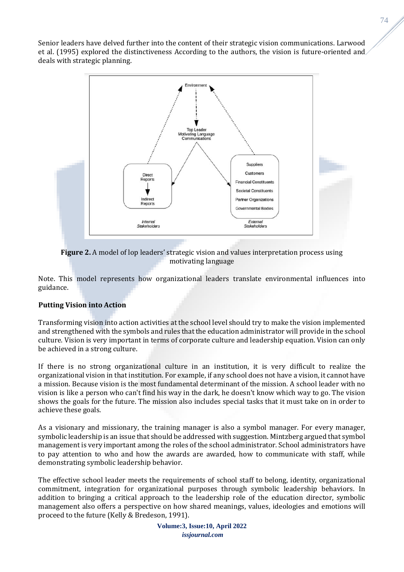Senior leaders have delved further into the content of their strategic vision communications. Larwood et al. (1995) explored the distinctiveness According to the authors, the vision is future-oriented and deals with strategic planning.



**Figure 2.** A model of lop leaders' strategic vision and values interpretation process using motivating language

Note. This model represents how organizational leaders translate environmental influences into guidance.

# **Putting Vision into Action**

Transforming vision into action activities at the school level should try to make the vision implemented and strengthened with the symbols and rules that the education administrator will provide in the school culture. Vision is very important in terms of corporate culture and leadership equation. Vision can only be achieved in a strong culture.

If there is no strong organizational culture in an institution, it is very difficult to realize the organizational vision in that institution. For example, if any school does not have a vision, it cannot have a mission. Because vision is the most fundamental determinant of the mission. A school leader with no vision is like a person who can't find his way in the dark, he doesn't know which way to go. The vision shows the goals for the future. The mission also includes special tasks that it must take on in order to achieve these goals.

As a visionary and missionary, the training manager is also a symbol manager. For every manager, symbolic leadership is an issue that should be addressed with suggestion. Mintzberg argued that symbol management is very important among the roles of the school administrator. School administrators have to pay attention to who and how the awards are awarded, how to communicate with staff, while demonstrating symbolic leadership behavior.

The effective school leader meets the requirements of school staff to belong, identity, organizational commitment, integration for organizational purposes through symbolic leadership behaviors. In addition to bringing a critical approach to the leadership role of the education director, symbolic management also offers a perspective on how shared meanings, values, ideologies and emotions will proceed to the future (Kelly & Bredeson, 1991).

74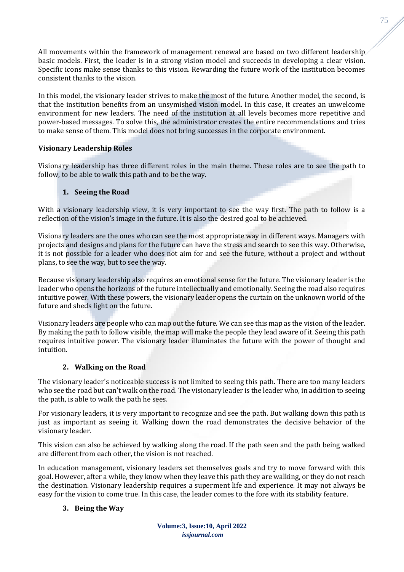All movements within the framework of management renewal are based on two different leadership basic models. First, the leader is in a strong vision model and succeeds in developing a clear vision. Specific icons make sense thanks to this vision. Rewarding the future work of the institution becomes consistent thanks to the vision.

In this model, the visionary leader strives to make the most of the future. Another model, the second, is that the institution benefits from an unsymished vision model. In this case, it creates an unwelcome environment for new leaders. The need of the institution at all levels becomes more repetitive and power-based messages. To solve this, the administrator creates the entire recommendations and tries to make sense of them. This model does not bring successes in the corporate environment.

# **Visionary Leadership Roles**

Visionary leadership has three different roles in the main theme. These roles are to see the path to follow, to be able to walk this path and to be the way.

# **1. Seeing the Road**

With a visionary leadership view, it is very important to see the way first. The path to follow is a reflection of the vision's image in the future. It is also the desired goal to be achieved.

Visionary leaders are the ones who can see the most appropriate way in different ways. Managers with projects and designs and plans for the future can have the stress and search to see this way. Otherwise, it is not possible for a leader who does not aim for and see the future, without a project and without plans, to see the way, but to see the way.

Because visionary leadership also requires an emotional sense for the future. The visionary leader is the leader who opens the horizons of the future intellectually and emotionally. Seeing the road also requires intuitive power. With these powers, the visionary leader opens the curtain on the unknown world of the future and sheds light on the future.

Visionary leaders are people who can map out the future. We can see this map as the vision of the leader. By making the path to follow visible, the map will make the people they lead aware of it. Seeing this path requires intuitive power. The visionary leader illuminates the future with the power of thought and intuition.

# **2. Walking on the Road**

The visionary leader's noticeable success is not limited to seeing this path. There are too many leaders who see the road but can't walk on the road. The visionary leader is the leader who, in addition to seeing the path, is able to walk the path he sees.

For visionary leaders, it is very important to recognize and see the path. But walking down this path is just as important as seeing it. Walking down the road demonstrates the decisive behavior of the visionary leader.

This vision can also be achieved by walking along the road. If the path seen and the path being walked are different from each other, the vision is not reached.

In education management, visionary leaders set themselves goals and try to move forward with this goal. However, after a while, they know when they leave this path they are walking, or they do not reach the destination. Visionary leadership requires a superment life and experience. It may not always be easy for the vision to come true. In this case, the leader comes to the fore with its stability feature.

# **3. Being the Way**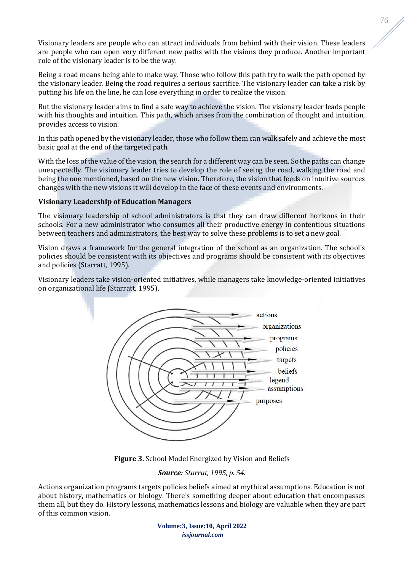Visionary leaders are people who can attract individuals from behind with their vision. These leaders are people who can open very different new paths with the visions they produce. Another important role of the visionary leader is to be the way.

Being a road means being able to make way. Those who follow this path try to walk the path opened by the visionary leader. Being the road requires a serious sacrifice. The visionary leader can take a risk by putting his life on the line, he can lose everything in order to realize the vision.

But the visionary leader aims to find a safe way to achieve the vision. The visionary leader leads people with his thoughts and intuition. This path, which arises from the combination of thought and intuition, provides access to vision.

In this path opened by the visionary leader, those who follow them can walk safely and achieve the most basic goal at the end of the targeted path.

With the loss of the value of the vision, the search for a different way can be seen. So the paths can change unexpectedly. The visionary leader tries to develop the role of seeing the road, walking the road and being the one mentioned, based on the new vision. Therefore, the vision that feeds on intuitive sources changes with the new visions it will develop in the face of these events and environments.

# **Visionary Leadership of Education Managers**

The visionary leadership of school administrators is that they can draw different horizons in their schools. For a new administrator who consumes all their productive energy in contentious situations between teachers and administrators, the best way to solve these problems is to set a new goal.

Vision draws a framework for the general integration of the school as an organization. The school's policies should be consistent with its objectives and programs should be consistent with its objectives and policies (Starratt, 1995).

Visionary leaders take vision-oriented initiatives, while managers take knowledge-oriented initiatives on organizational life (Starratt, 1995).



**Figure 3.** School Model Energized by Vision and Beliefs

# *Source: Starrat, 1995, p. 54.*

Actions organization programs targets policies beliefs aimed at mythical assumptions. Education is not about history, mathematics or biology. There's something deeper about education that encompasses them all, but they do. History lessons, mathematics lessons and biology are valuable when they are part of this common vision.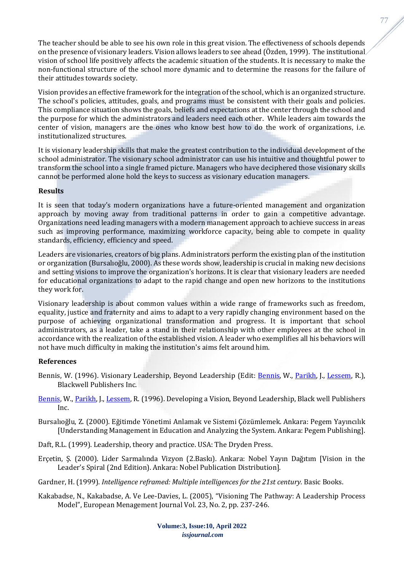The teacher should be able to see his own role in this great vision. The effectiveness of schools depends on the presence of visionary leaders. Vision allows leaders to see ahead (Özden, 1999). The institutional vision of school life positively affects the academic situation of the students. It is necessary to make the non-functional structure of the school more dynamic and to determine the reasons for the failure of their attitudes towards society.

Vision provides an effective framework for the integration of the school, which is an organized structure. The school's policies, attitudes, goals, and programs must be consistent with their goals and policies. This compliance situation shows the goals, beliefs and expectations at the center through the school and the purpose for which the administrators and leaders need each other. While leaders aim towards the center of vision, managers are the ones who know best how to do the work of organizations, i.e. institutionalized structures.

It is visionary leadership skills that make the greatest contribution to the individual development of the school administrator. The visionary school administrator can use his intuitive and thoughtful power to transform the school into a single framed picture. Managers who have deciphered those visionary skills cannot be performed alone hold the keys to success as visionary education managers.

# **Results**

It is seen that today's modern organizations have a future-oriented management and organization approach by moving away from traditional patterns in order to gain a competitive advantage. Organizations need leading managers with a modern management approach to achieve success in areas such as improving performance, maximizing workforce capacity, being able to compete in quality standards, efficiency, efficiency and speed.

Leaders are visionaries, creators of big plans. Administrators perform the existing plan of the institution or organization (Bursalıoğlu, 2000). As these words show, leadership is crucial in making new decisions and setting visions to improve the organization's horizons. It is clear that visionary leaders are needed for educational organizations to adapt to the rapid change and open new horizons to the institutions they work for.

Visionary leadership is about common values within a wide range of frameworks such as freedom, equality, justice and fraternity and aims to adapt to a very rapidly changing environment based on the purpose of achieving organizational transformation and progress. It is important that school administrators, as a leader, take a stand in their relationship with other employees at the school in accordance with the realization of the established vision. A leader who exemplifies all his behaviors will not have much difficulty in making the institution's aims felt around him.

#### **References**

- Bennis, W. (1996). Visionary Leadership, Beyond Leadership (Edit: [Bennis,](https://www.bokus.com/cgi-bin/product_search.cgi?authors=Warren%20Bennis) W., [Parikh,](https://www.bokus.com/cgi-bin/product_search.cgi?authors=Jagdish%20Parikh) J., [Lessem,](https://www.bokus.com/cgi-bin/product_search.cgi?authors=Ronnie%20Lessem) R.), Blackwell Publishers Inc.
- [Bennis,](https://www.bokus.com/cgi-bin/product_search.cgi?authors=Warren%20Bennis) W.[, Parikh,](https://www.bokus.com/cgi-bin/product_search.cgi?authors=Jagdish%20Parikh) J.[, Lessem,](https://www.bokus.com/cgi-bin/product_search.cgi?authors=Ronnie%20Lessem) R. (1996). Developing a Vision, Beyond Leadership, Black well Publishers Inc.
- Bursalıoğlu, Z. (2000). Eğitimde Yönetimi Anlamak ve Sistemi Çözümlemek. Ankara: Pegem Yayıncılık [Understanding Management in Education and Analyzing the System. Ankara: Pegem Publishing].
- Daft, R.L. (1999). Leadership, theory and practice. USA: The Dryden Press.
- Erçetin, Ş. (2000). Lider Sarmalında Vizyon (2.Baskı). Ankara: Nobel Yayın Dağıtım [Vision in the Leader's Spiral (2nd Edition). Ankara: Nobel Publication Distribution].
- Gardner, H. (1999). *Intelligence reframed: Multiple intelligences for the 21st century.* Basic Books.
- Kakabadse, N., Kakabadse, A. Ve Lee-Davies, L. (2005), "Visioning The Pathway: A Leadership Process Model", European Menagement Journal Vol. 23, No. 2, pp. 237-246.

**Volume:3, Issue:10, April 2022** *issjournal.com*